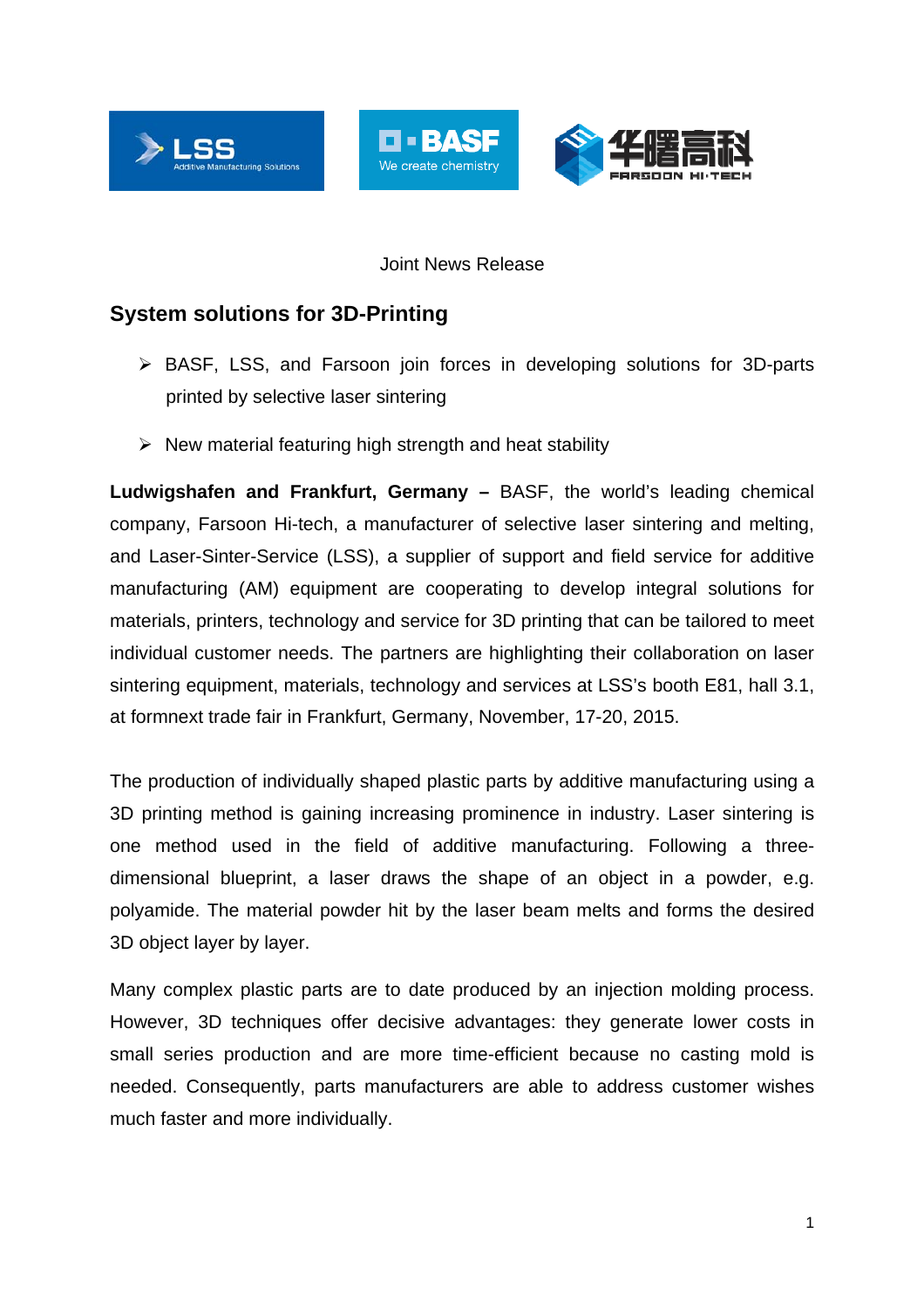



## Joint News Release

# **System solutions for 3D-Printing**

- BASF, LSS, and Farsoon join forces in developing solutions for 3D-parts printed by selective laser sintering
- $\triangleright$  New material featuring high strength and heat stability

**Ludwigshafen and Frankfurt, Germany –** BASF, the world's leading chemical company, Farsoon Hi-tech, a manufacturer of selective laser sintering and melting, and Laser-Sinter-Service (LSS), a supplier of support and field service for additive manufacturing (AM) equipment are cooperating to develop integral solutions for materials, printers, technology and service for 3D printing that can be tailored to meet individual customer needs. The partners are highlighting their collaboration on laser sintering equipment, materials, technology and services at LSS's booth E81, hall 3.1, at formnext trade fair in Frankfurt, Germany, November, 17-20, 2015.

The production of individually shaped plastic parts by additive manufacturing using a 3D printing method is gaining increasing prominence in industry. Laser sintering is one method used in the field of additive manufacturing. Following a threedimensional blueprint, a laser draws the shape of an object in a powder, e.g. polyamide. The material powder hit by the laser beam melts and forms the desired 3D object layer by layer.

Many complex plastic parts are to date produced by an injection molding process. However, 3D techniques offer decisive advantages: they generate lower costs in small series production and are more time-efficient because no casting mold is needed. Consequently, parts manufacturers are able to address customer wishes much faster and more individually.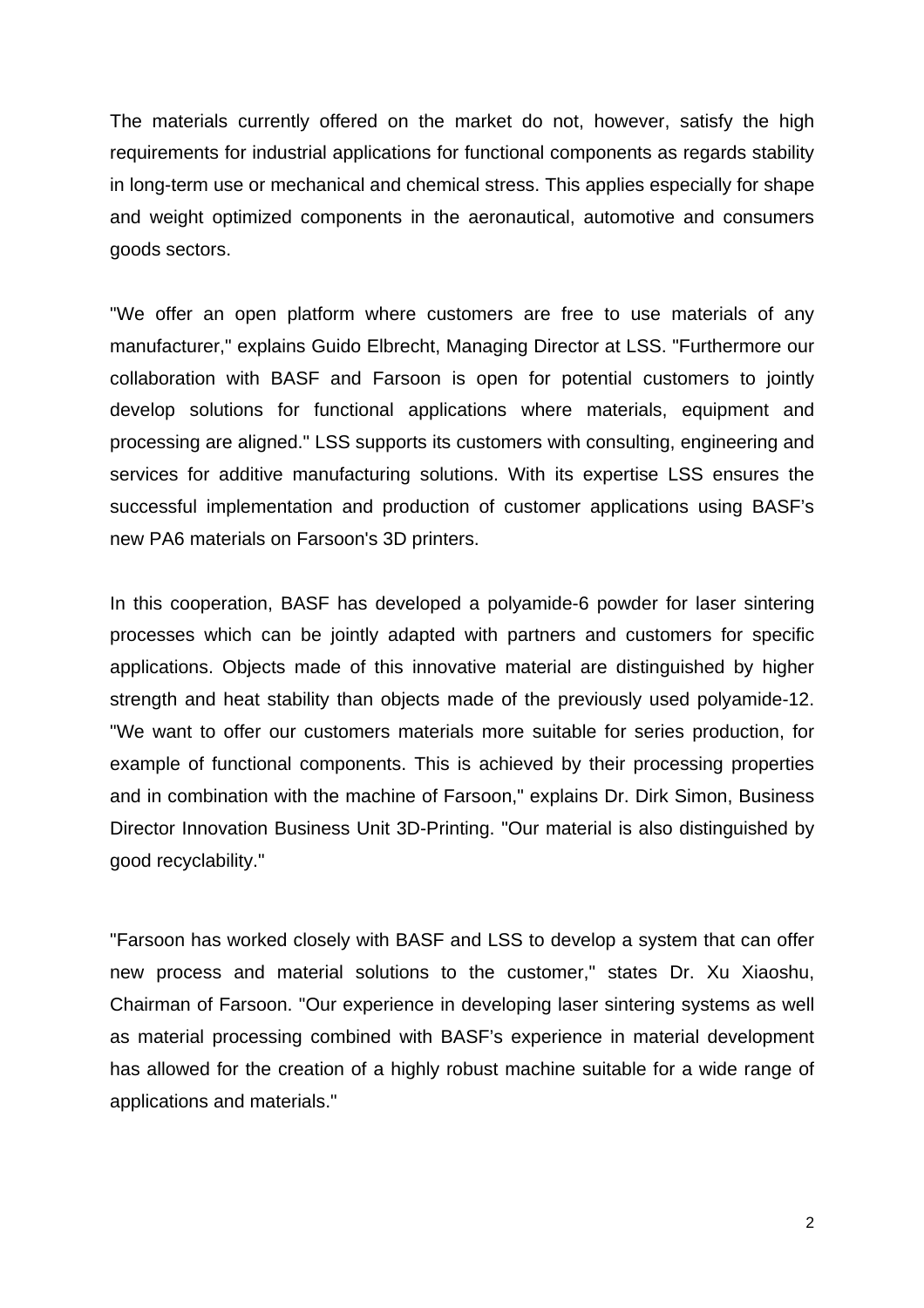The materials currently offered on the market do not, however, satisfy the high requirements for industrial applications for functional components as regards stability in long-term use or mechanical and chemical stress. This applies especially for shape and weight optimized components in the aeronautical, automotive and consumers goods sectors.

"We offer an open platform where customers are free to use materials of any manufacturer," explains Guido Elbrecht, Managing Director at LSS. "Furthermore our collaboration with BASF and Farsoon is open for potential customers to jointly develop solutions for functional applications where materials, equipment and processing are aligned." LSS supports its customers with consulting, engineering and services for additive manufacturing solutions. With its expertise LSS ensures the successful implementation and production of customer applications using BASF's new PA6 materials on Farsoon's 3D printers.

In this cooperation, BASF has developed a polyamide-6 powder for laser sintering processes which can be jointly adapted with partners and customers for specific applications. Objects made of this innovative material are distinguished by higher strength and heat stability than objects made of the previously used polyamide-12. "We want to offer our customers materials more suitable for series production, for example of functional components. This is achieved by their processing properties and in combination with the machine of Farsoon," explains Dr. Dirk Simon, Business Director Innovation Business Unit 3D-Printing. "Our material is also distinguished by good recyclability."

"Farsoon has worked closely with BASF and LSS to develop a system that can offer new process and material solutions to the customer," states Dr. Xu Xiaoshu, Chairman of Farsoon. "Our experience in developing laser sintering systems as well as material processing combined with BASF's experience in material development has allowed for the creation of a highly robust machine suitable for a wide range of applications and materials."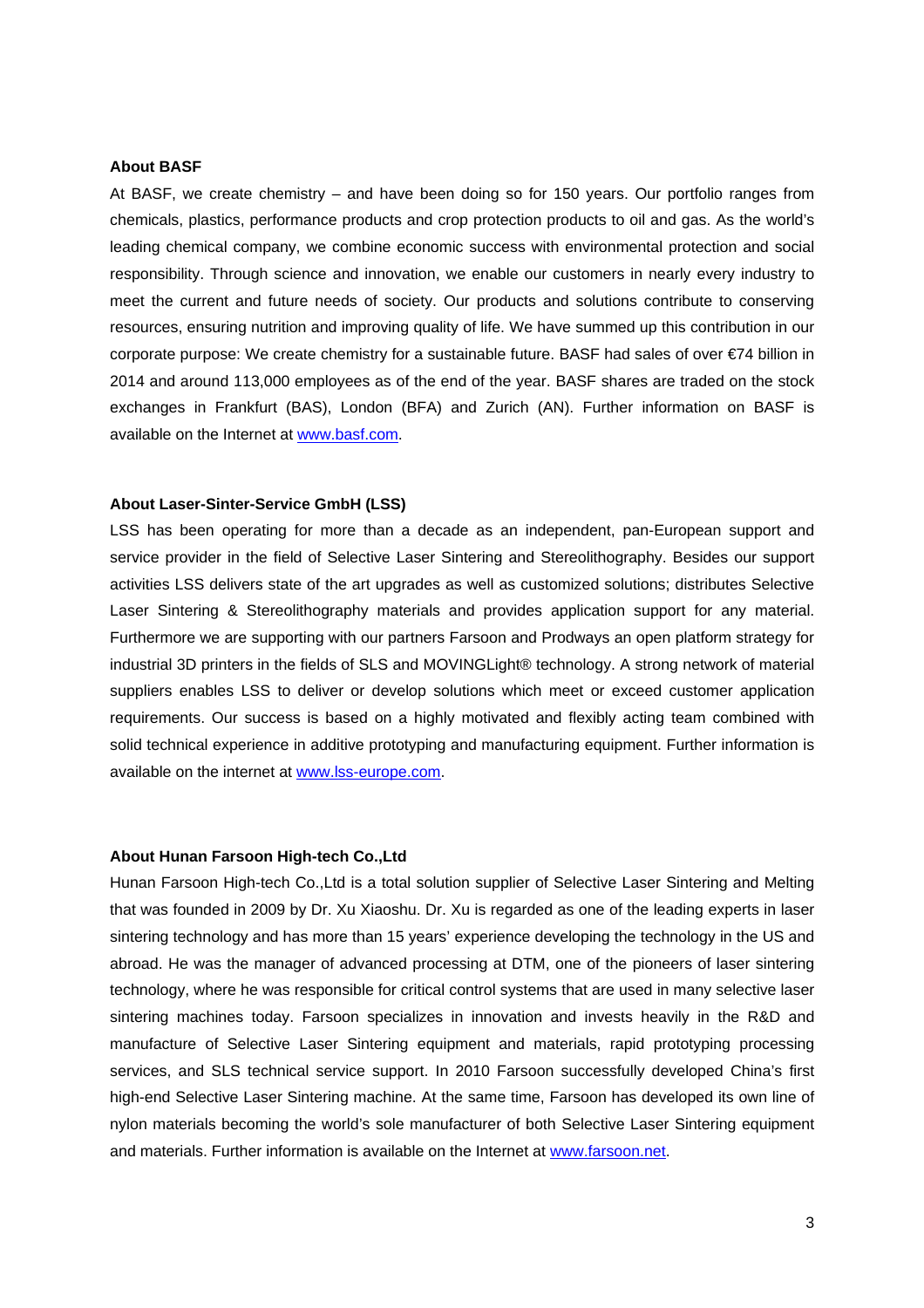#### **About BASF**

At BASF, we create chemistry – and have been doing so for 150 years. Our portfolio ranges from chemicals, plastics, performance products and crop protection products to oil and gas. As the world's leading chemical company, we combine economic success with environmental protection and social responsibility. Through science and innovation, we enable our customers in nearly every industry to meet the current and future needs of society. Our products and solutions contribute to conserving resources, ensuring nutrition and improving quality of life. We have summed up this contribution in our corporate purpose: We create chemistry for a sustainable future. BASF had sales of over €74 billion in 2014 and around 113,000 employees as of the end of the year. BASF shares are traded on the stock exchanges in Frankfurt (BAS), London (BFA) and Zurich (AN). Further information on BASF is available on the Internet at www.basf.com.

### **About Laser-Sinter-Service GmbH (LSS)**

LSS has been operating for more than a decade as an independent, pan-European support and service provider in the field of Selective Laser Sintering and Stereolithography. Besides our support activities LSS delivers state of the art upgrades as well as customized solutions; distributes Selective Laser Sintering & Stereolithography materials and provides application support for any material. Furthermore we are supporting with our partners Farsoon and Prodways an open platform strategy for industrial 3D printers in the fields of SLS and MOVINGLight® technology. A strong network of material suppliers enables LSS to deliver or develop solutions which meet or exceed customer application requirements. Our success is based on a highly motivated and flexibly acting team combined with solid technical experience in additive prototyping and manufacturing equipment. Further information is available on the internet at www.lss-europe.com.

#### **About Hunan Farsoon High-tech Co.,Ltd**

Hunan Farsoon High-tech Co.,Ltd is a total solution supplier of Selective Laser Sintering and Melting that was founded in 2009 by Dr. Xu Xiaoshu. Dr. Xu is regarded as one of the leading experts in laser sintering technology and has more than 15 years' experience developing the technology in the US and abroad. He was the manager of advanced processing at DTM, one of the pioneers of laser sintering technology, where he was responsible for critical control systems that are used in many selective laser sintering machines today. Farsoon specializes in innovation and invests heavily in the R&D and manufacture of Selective Laser Sintering equipment and materials, rapid prototyping processing services, and SLS technical service support. In 2010 Farsoon successfully developed China's first high-end Selective Laser Sintering machine. At the same time, Farsoon has developed its own line of nylon materials becoming the world's sole manufacturer of both Selective Laser Sintering equipment and materials. Further information is available on the Internet at www.farsoon.net.